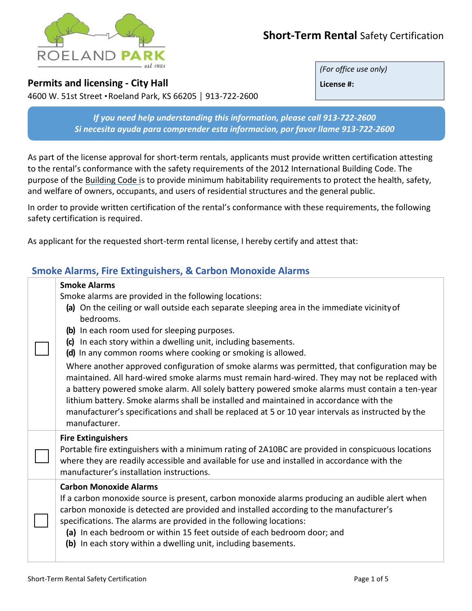

# **Short-Term Rental** Safety Certification

### **Permits and licensing - City Hall**

4600 W. 51st Street ● Roeland Park, KS 66205 │ 913-722-2600

*(For office use only)*

**License #:**

*If you need help understanding this information, please call 913-722-2600 Si necesita ayuda para comprender esta informacion, por favor llame 913-722-2600*

As part of the license approval for short-term rentals, applicants must provide written certification attesting to the rental's conformance with the safety requirements of the 2012 International Building Code. The purpose of the Building Code is to provide minimum habitability requirements to protect the health, safety, and welfare of owners, occupants, and users of residential structures and the general public.

In order to provide written certification of the rental's conformance with these requirements, the following safety certification is required.

As applicant for the requested short-term rental license, I hereby certify and attest that:

## **Smoke Alarms, Fire Extinguishers, & Carbon Monoxide Alarms**

| <b>Smoke Alarms</b><br>Smoke alarms are provided in the following locations:<br>(a) On the ceiling or wall outside each separate sleeping area in the immediate vicinity of<br>bedrooms.<br>(b) In each room used for sleeping purposes.<br>(c) In each story within a dwelling unit, including basements.<br>(d) In any common rooms where cooking or smoking is allowed.<br>Where another approved configuration of smoke alarms was permitted, that configuration may be<br>maintained. All hard-wired smoke alarms must remain hard-wired. They may not be replaced with<br>a battery powered smoke alarm. All solely battery powered smoke alarms must contain a ten-year<br>lithium battery. Smoke alarms shall be installed and maintained in accordance with the<br>manufacturer's specifications and shall be replaced at 5 or 10 year intervals as instructed by the |
|--------------------------------------------------------------------------------------------------------------------------------------------------------------------------------------------------------------------------------------------------------------------------------------------------------------------------------------------------------------------------------------------------------------------------------------------------------------------------------------------------------------------------------------------------------------------------------------------------------------------------------------------------------------------------------------------------------------------------------------------------------------------------------------------------------------------------------------------------------------------------------|
| manufacturer.<br><b>Fire Extinguishers</b><br>Portable fire extinguishers with a minimum rating of 2A10BC are provided in conspicuous locations<br>where they are readily accessible and available for use and installed in accordance with the<br>manufacturer's installation instructions.                                                                                                                                                                                                                                                                                                                                                                                                                                                                                                                                                                                   |
| <b>Carbon Monoxide Alarms</b><br>If a carbon monoxide source is present, carbon monoxide alarms producing an audible alert when<br>carbon monoxide is detected are provided and installed according to the manufacturer's<br>specifications. The alarms are provided in the following locations:<br>(a) In each bedroom or within 15 feet outside of each bedroom door; and<br>(b) In each story within a dwelling unit, including basements.                                                                                                                                                                                                                                                                                                                                                                                                                                  |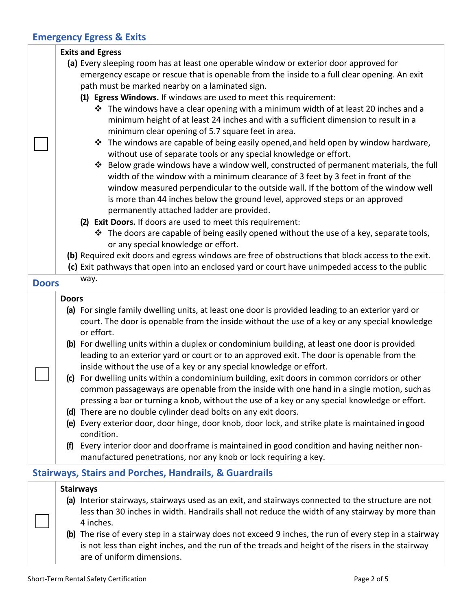# **Emergency Egress & Exits**

|              | <b>Exits and Egress</b>                                                                                                                                                                                                                                                                                                                                                                                                                                          |
|--------------|------------------------------------------------------------------------------------------------------------------------------------------------------------------------------------------------------------------------------------------------------------------------------------------------------------------------------------------------------------------------------------------------------------------------------------------------------------------|
|              | (a) Every sleeping room has at least one operable window or exterior door approved for                                                                                                                                                                                                                                                                                                                                                                           |
|              | emergency escape or rescue that is openable from the inside to a full clear opening. An exit                                                                                                                                                                                                                                                                                                                                                                     |
|              | path must be marked nearby on a laminated sign.                                                                                                                                                                                                                                                                                                                                                                                                                  |
|              | (1) Egress Windows. If windows are used to meet this requirement:                                                                                                                                                                                                                                                                                                                                                                                                |
|              | ❖ The windows have a clear opening with a minimum width of at least 20 inches and a<br>minimum height of at least 24 inches and with a sufficient dimension to result in a<br>minimum clear opening of 5.7 square feet in area.                                                                                                                                                                                                                                  |
|              | The windows are capable of being easily opened, and held open by window hardware,<br>❖<br>without use of separate tools or any special knowledge or effort.                                                                                                                                                                                                                                                                                                      |
|              | Below grade windows have a window well, constructed of permanent materials, the full<br>❖<br>width of the window with a minimum clearance of 3 feet by 3 feet in front of the<br>window measured perpendicular to the outside wall. If the bottom of the window well<br>is more than 44 inches below the ground level, approved steps or an approved<br>permanently attached ladder are provided.<br>(2) Exit Doors. If doors are used to meet this requirement: |
|              | ❖ The doors are capable of being easily opened without the use of a key, separate tools,<br>or any special knowledge or effort.                                                                                                                                                                                                                                                                                                                                  |
|              | (b) Required exit doors and egress windows are free of obstructions that block access to the exit.                                                                                                                                                                                                                                                                                                                                                               |
|              | (c) Exit pathways that open into an enclosed yard or court have unimpeded access to the public                                                                                                                                                                                                                                                                                                                                                                   |
| <b>Doors</b> | way.                                                                                                                                                                                                                                                                                                                                                                                                                                                             |
|              | <b>Doors</b>                                                                                                                                                                                                                                                                                                                                                                                                                                                     |
|              | (a) For single family dwelling units, at least one door is provided leading to an exterior yard or<br>court. The door is openable from the inside without the use of a key or any special knowledge<br>or effort.                                                                                                                                                                                                                                                |
|              | (b) For dwelling units within a duplex or condominium building, at least one door is provided<br>leading to an exterior yard or court or to an approved exit. The door is openable from the<br>inside without the use of a key or any special knowledge or effort.                                                                                                                                                                                               |
|              | (c) For dwelling units within a condominium building, exit doors in common corridors or other<br>common passageways are openable from the inside with one hand in a single motion, such as                                                                                                                                                                                                                                                                       |
|              | pressing a bar or turning a knob, without the use of a key or any special knowledge or effort.                                                                                                                                                                                                                                                                                                                                                                   |
|              | (d) There are no double cylinder dead bolts on any exit doors.<br>(e) Every exterior door, door hinge, door knob, door lock, and strike plate is maintained in good<br>condition.                                                                                                                                                                                                                                                                                |
|              | Every interior door and doorframe is maintained in good condition and having neither non-<br>(f)<br>manufactured penetrations, nor any knob or lock requiring a key.                                                                                                                                                                                                                                                                                             |
|              | <b>Stairways, Stairs and Porches, Handrails, &amp; Guardrails</b>                                                                                                                                                                                                                                                                                                                                                                                                |
|              | <b>Stairways</b>                                                                                                                                                                                                                                                                                                                                                                                                                                                 |
|              | (a) Interior stairways, stairways used as an exit, and stairways connected to the structure are not<br>less than 30 inches in width. Handrails shall not reduce the width of any stairway by more than                                                                                                                                                                                                                                                           |
|              | 4 inches.                                                                                                                                                                                                                                                                                                                                                                                                                                                        |
|              | (b) The rise of every step in a stairway does not exceed 9 inches, the run of every step in a stairway<br>is not less than eight inches, and the run of the treads and height of the risers in the stairway<br>are of uniform dimensions.                                                                                                                                                                                                                        |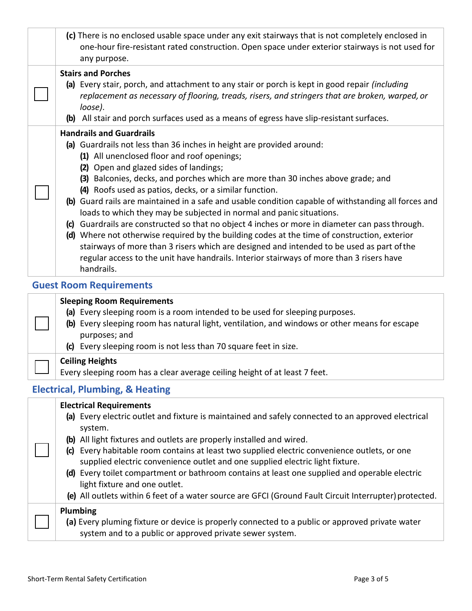| (c) There is no enclosed usable space under any exit stairways that is not completely enclosed in<br>one-hour fire-resistant rated construction. Open space under exterior stairways is not used for<br>any purpose.                                                                                                                                                                                                                                                                                                                                                                                                                                                                                                                                                                                                                                                                                                                       |
|--------------------------------------------------------------------------------------------------------------------------------------------------------------------------------------------------------------------------------------------------------------------------------------------------------------------------------------------------------------------------------------------------------------------------------------------------------------------------------------------------------------------------------------------------------------------------------------------------------------------------------------------------------------------------------------------------------------------------------------------------------------------------------------------------------------------------------------------------------------------------------------------------------------------------------------------|
| <b>Stairs and Porches</b><br>(a) Every stair, porch, and attachment to any stair or porch is kept in good repair <i>(including</i><br>replacement as necessary of flooring, treads, risers, and stringers that are broken, warped, or<br>loose).<br>(b) All stair and porch surfaces used as a means of egress have slip-resistant surfaces.                                                                                                                                                                                                                                                                                                                                                                                                                                                                                                                                                                                               |
| <b>Handrails and Guardrails</b><br>(a) Guardrails not less than 36 inches in height are provided around:<br>(1) All unenclosed floor and roof openings;<br>(2) Open and glazed sides of landings;<br>(3) Balconies, decks, and porches which are more than 30 inches above grade; and<br>(4) Roofs used as patios, decks, or a similar function.<br>(b) Guard rails are maintained in a safe and usable condition capable of withstanding all forces and<br>loads to which they may be subjected in normal and panic situations.<br>(c) Guardrails are constructed so that no object 4 inches or more in diameter can pass through.<br>(d) Where not otherwise required by the building codes at the time of construction, exterior<br>stairways of more than 3 risers which are designed and intended to be used as part of the<br>regular access to the unit have handrails. Interior stairways of more than 3 risers have<br>handrails. |
| <b>Guest Room Requirements</b>                                                                                                                                                                                                                                                                                                                                                                                                                                                                                                                                                                                                                                                                                                                                                                                                                                                                                                             |
| <b>Sleeping Room Requirements</b><br>(a) Every sleeping room is a room intended to be used for sleeping purposes.<br>(b) Every sleeping room has natural light, ventilation, and windows or other means for escape<br>purposes; and<br>(c) Every sleeping room is not less than 70 square feet in size.                                                                                                                                                                                                                                                                                                                                                                                                                                                                                                                                                                                                                                    |
| <b>Ceiling Heights</b><br>Every sleeping room has a clear average ceiling height of at least 7 feet.                                                                                                                                                                                                                                                                                                                                                                                                                                                                                                                                                                                                                                                                                                                                                                                                                                       |
| <b>Electrical, Plumbing, &amp; Heating</b>                                                                                                                                                                                                                                                                                                                                                                                                                                                                                                                                                                                                                                                                                                                                                                                                                                                                                                 |
| <b>Electrical Requirements</b><br>(a) Every electric outlet and fixture is maintained and safely connected to an approved electrical<br>system.<br>(b) All light fixtures and outlets are properly installed and wired.                                                                                                                                                                                                                                                                                                                                                                                                                                                                                                                                                                                                                                                                                                                    |

- **(c)** Every habitable room contains at least two supplied electric convenience outlets, or one supplied electric convenience outlet and one supplied electric light fixture.
- **(d)** Every toilet compartment or bathroom contains at least one supplied and operable electric light fixture and one outlet.
- **(e)** All outlets within 6 feet of a water source are GFCI (Ground Fault Circuit Interrupter)protected.

| Plumbing<br>(a) Every pluming fixture or device is properly connected to a public or approved private water |
|-------------------------------------------------------------------------------------------------------------|
| system and to a public or approved private sewer system.                                                    |

 $\mathbf{L}$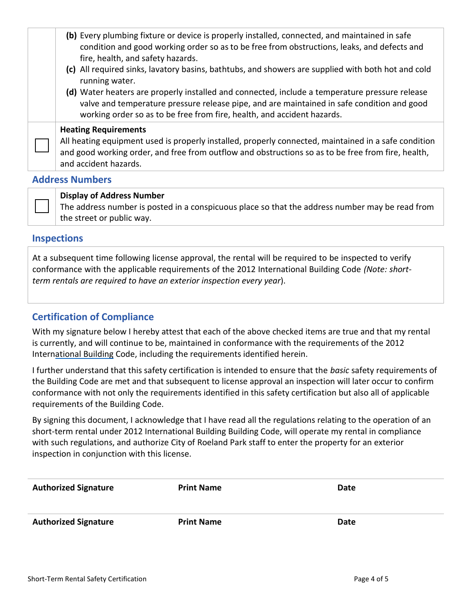|                 | (b) Every plumbing fixture or device is properly installed, connected, and maintained in safe<br>condition and good working order so as to be free from obstructions, leaks, and defects and<br>fire, health, and safety hazards.<br>(c) All required sinks, lavatory basins, bathtubs, and showers are supplied with both hot and cold<br>running water.<br>(d) Water heaters are properly installed and connected, include a temperature pressure release<br>valve and temperature pressure release pipe, and are maintained in safe condition and good |  |
|-----------------|-----------------------------------------------------------------------------------------------------------------------------------------------------------------------------------------------------------------------------------------------------------------------------------------------------------------------------------------------------------------------------------------------------------------------------------------------------------------------------------------------------------------------------------------------------------|--|
|                 | working order so as to be free from fire, health, and accident hazards.                                                                                                                                                                                                                                                                                                                                                                                                                                                                                   |  |
|                 | <b>Heating Requirements</b><br>All heating equipment used is properly installed, properly connected, maintained in a safe condition<br>and good working order, and free from outflow and obstructions so as to be free from fire, health,<br>and accident hazards.                                                                                                                                                                                                                                                                                        |  |
| Address Numbers |                                                                                                                                                                                                                                                                                                                                                                                                                                                                                                                                                           |  |

#### **Address Numbers**

#### **Display of Address Number**

The address number is posted in a conspicuous place so that the address number may be read from the street or public way.

#### **Inspections**

At a subsequent time following license approval, the rental will be required to be inspected to verify conformance with the applicable requirements of the 2012 International Building Code *(Note: shortterm rentals are required to have an exterior inspection every year*).

### **Certification of Compliance**

With my signature below I hereby attest that each of the above checked items are true and that my rental is currently, and will continue to be, maintained in conformance with the requirements of the 2012 Inter[national Building](http://www.cityofsalem.net/code/salem-revised-code-059-housing-code.pdf) Code, including the requirements identified herein.

I further understand that this safety certification is intended to ensure that the *basic* safety requirements of the Building Code are met and that subsequent to license approval an inspection will later occur to confirm conformance with not only the requirements identified in this safety certification but also all of applicable requirements of the Building Code.

By signing this document, I acknowledge that I have read all the regulations relating to the operation of an short-term rental under 2012 International Building Building Code, will operate my rental in compliance with such regulations, and authorize City of Roeland Park staff to enter the property for an exterior inspection in conjunction with this license.

| <b>Authorized Signature</b> | <b>Print Name</b> | Date |
|-----------------------------|-------------------|------|
| <b>Authorized Signature</b> | <b>Print Name</b> | Date |